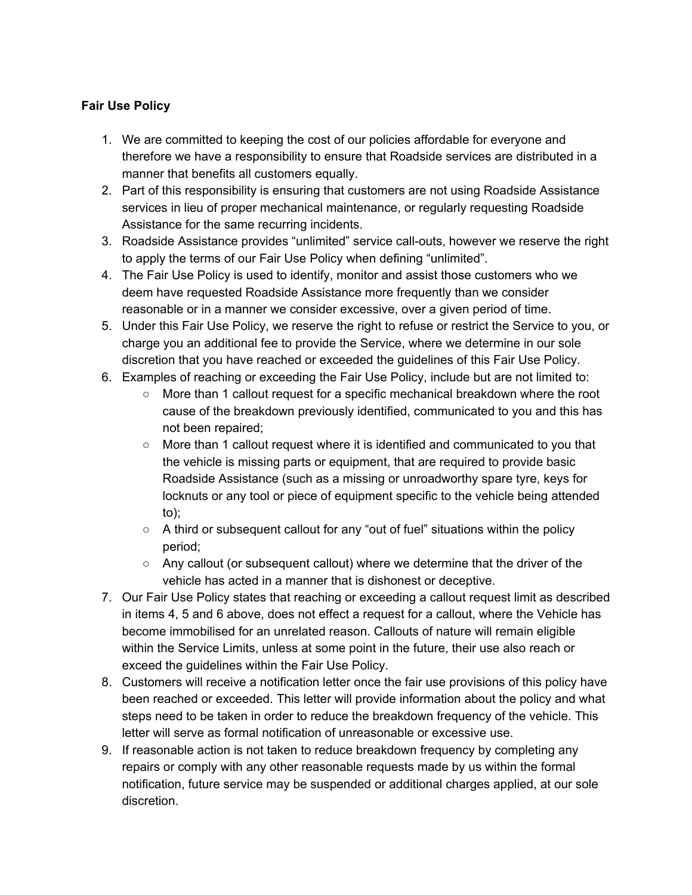## **Fair Use Policy**

- 1. We are committed to keeping the cost of our policies affordable for everyone and therefore we have a responsibility to ensure that Roadside services are distributed in a manner that benefits all customers equally.
- 2. Part of this responsibility is ensuring that customers are not using Roadside Assistance services in lieu of proper mechanical maintenance, or regularly requesting Roadside Assistance for the same recurring incidents.
- 3. Roadside Assistance provides "unlimited" service call-outs, however we reserve the right to apply the terms of our Fair Use Policy when defining "unlimited".
- 4. The Fair Use Policy is used to identify, monitor and assist those customers who we deem have requested Roadside Assistance more frequently than we consider reasonable or in a manner we consider excessive, over a given period of time.
- 5. Under this Fair Use Policy, we reserve the right to refuse or restrict the Service to you, or charge you an additional fee to provide the Service, where we determine in our sole discretion that you have reached or exceeded the guidelines of this Fair Use Policy.
- 6. Examples of reaching or exceeding the Fair Use Policy, include but are not limited to:
	- More than 1 callout request for a specific mechanical breakdown where the root cause of the breakdown previously identified, communicated to you and this has not been repaired;
	- More than 1 callout request where it is identified and communicated to you that the vehicle is missing parts or equipment, that are required to provide basic Roadside Assistance (such as a missing or unroadworthy spare tyre, keys for locknuts or any tool or piece of equipment specific to the vehicle being attended to);
	- $\circ$  A third or subsequent callout for any "out of fuel" situations within the policy period;
	- $\circ$  Any callout (or subsequent callout) where we determine that the driver of the vehicle has acted in a manner that is dishonest or deceptive.
- 7. Our Fair Use Policy states that reaching or exceeding a callout request limit as described in items 4, 5 and 6 above, does not effect a request for a callout, where the Vehicle has become immobilised for an unrelated reason. Callouts of nature will remain eligible within the Service Limits, unless at some point in the future, their use also reach or exceed the guidelines within the Fair Use Policy.
- 8. Customers will receive a notification letter once the fair use provisions of this policy have been reached or exceeded. This letter will provide information about the policy and what steps need to be taken in order to reduce the breakdown frequency of the vehicle. This letter will serve as formal notification of unreasonable or excessive use.
- 9. If reasonable action is not taken to reduce breakdown frequency by completing any repairs or comply with any other reasonable requests made by us within the formal notification, future service may be suspended or additional charges applied, at our sole discretion.